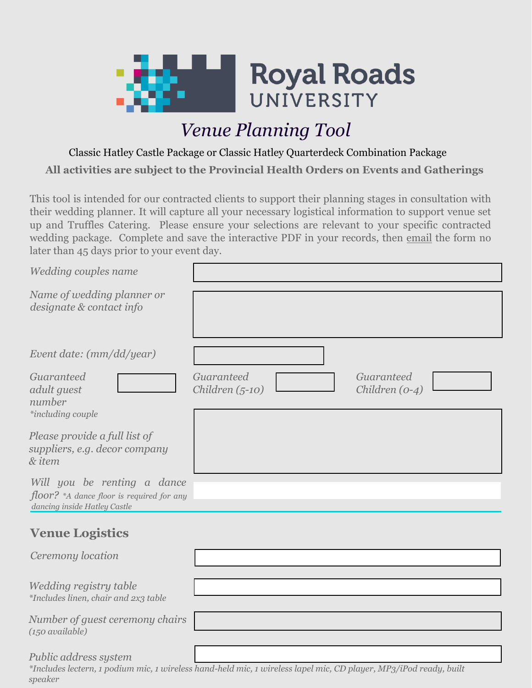

# *Venue Planning Tool*

**All activities are subject to the Provincial Health Orders on Events and Gatherings** Classic Hatley Castle Package or Classic Hatley Quarterdeck Combination Package

This tool is intended for our contracted clients to support their planning stages in consultation with their wedding planner. It will capture all your necessary logistical information to [supp](mailto:eventrequests@royalroads.ca)ort venue set up and Truffles Catering. Please ensure your selections are relevant to your specific contracted wedding package. Complete and save the interactive PDF in your records, then email the form no later than 45 days prior to your event day.

| Wedding couples name                                                                                       |                                                                                                                   |
|------------------------------------------------------------------------------------------------------------|-------------------------------------------------------------------------------------------------------------------|
| Name of wedding planner or<br>designate & contact info                                                     |                                                                                                                   |
| Event date: (mm/dd/year)                                                                                   |                                                                                                                   |
| Guaranteed<br>adult guest<br>number<br>*including couple                                                   | Guaranteed<br>Guaranteed<br>Children $(5-10)$<br>Children $(0-4)$                                                 |
| Please provide a full list of<br>suppliers, e.g. decor company<br>& item                                   |                                                                                                                   |
| Will you be renting a dance<br>$floor?$ *A dance floor is required for any<br>dancing inside Hatley Castle |                                                                                                                   |
| <b>Venue Logistics</b>                                                                                     |                                                                                                                   |
| Ceremony location                                                                                          |                                                                                                                   |
| Wedding registry table<br>*Includes linen, chair and 2x3 table                                             |                                                                                                                   |
| Number of guest ceremony chairs<br>$(150 \text{ available})$                                               |                                                                                                                   |
| Public address system                                                                                      | *Includes lectern, 1 podium mic, 1 wireless hand-held mic, 1 wireless lapel mic, CD player, MP3/iPod ready, built |

*speaker*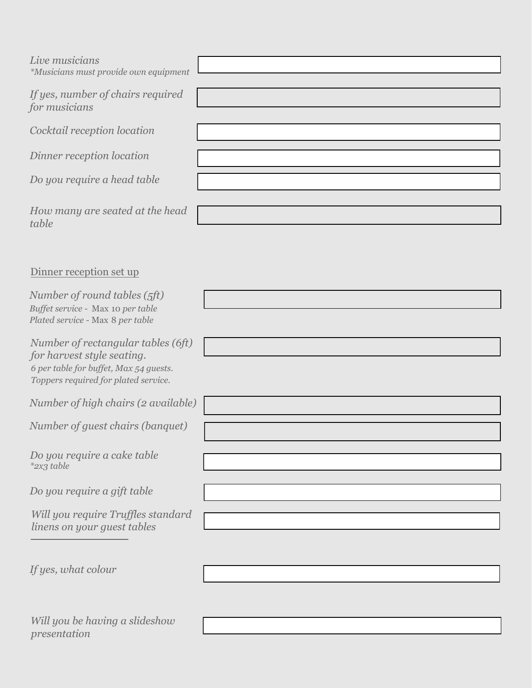| Live musicians<br>*Musicians must provide own equipment                                                                                            |  |
|----------------------------------------------------------------------------------------------------------------------------------------------------|--|
| If yes, number of chairs required<br>for musicians                                                                                                 |  |
| Cocktail reception location                                                                                                                        |  |
| Dinner reception location                                                                                                                          |  |
| Do you require a head table                                                                                                                        |  |
| How many are seated at the head<br>table                                                                                                           |  |
| Dinner reception set up                                                                                                                            |  |
| Number of round tables (5ft)<br>Buffet service - Max 10 per table<br>Plated service - Max 8 per table                                              |  |
| Number of rectangular tables (6ft)<br>for harvest style seating.<br>6 per table for buffet, Max 54 guests.<br>Toppers required for plated service. |  |
| Number of high chairs (2 available)                                                                                                                |  |
| Number of guest chairs (banquet)                                                                                                                   |  |
| Do you require a cake table<br>*2x3 table                                                                                                          |  |
| Do you require a gift table                                                                                                                        |  |
| Will you require Truffles standard<br>linens on your guest tables                                                                                  |  |
| If yes, what colour                                                                                                                                |  |
|                                                                                                                                                    |  |

*Will you be having a slideshow presentation*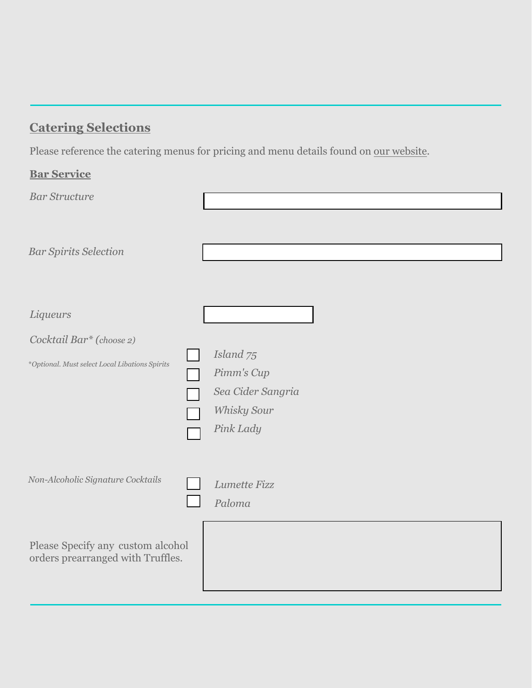# **Catering Selections**

Please reference the catering menus for pricing and menu details found on our [website.](http://hatleypark.ca/hatley-park-weddings/wedding-menus)

| <b>Bar Service</b>                                                     |                                                                                     |
|------------------------------------------------------------------------|-------------------------------------------------------------------------------------|
| <b>Bar Structure</b>                                                   |                                                                                     |
| <b>Bar Spirits Selection</b>                                           |                                                                                     |
| Liqueurs                                                               |                                                                                     |
| Cocktail Bar* (choose 2)                                               |                                                                                     |
| *Optional. Must select Local Libations Spirits                         | Island <sub>75</sub><br>Pimm's Cup<br>Sea Cider Sangria<br>Whisky Sour<br>Pink Lady |
| Non-Alcoholic Signature Cocktails                                      | Lumette Fizz<br>Paloma                                                              |
| Please Specify any custom alcohol<br>orders prearranged with Truffles. |                                                                                     |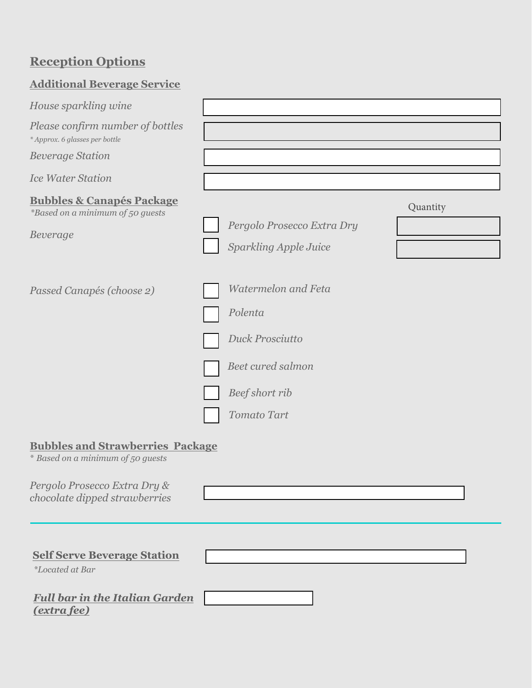# **Reception Options**

| <b>Additional Beverage Service</b>                                                                                                            |                                                                    |                                                            |          |
|-----------------------------------------------------------------------------------------------------------------------------------------------|--------------------------------------------------------------------|------------------------------------------------------------|----------|
| House sparkling wine                                                                                                                          |                                                                    |                                                            |          |
| Please confirm number of bottles<br>* Approx. 6 glasses per bottle                                                                            |                                                                    |                                                            |          |
| <b>Beverage Station</b>                                                                                                                       |                                                                    |                                                            |          |
| <b>Ice Water Station</b>                                                                                                                      |                                                                    |                                                            |          |
| <b>Bubbles &amp; Canapés Package</b><br><i>*Based on a minimum of 50 guests</i><br>Beverage                                                   |                                                                    | Pergolo Prosecco Extra Dry<br><b>Sparkling Apple Juice</b> | Quantity |
| Passed Canapés (choose 2)                                                                                                                     | Polenta<br>Duck Prosciutto<br>Beef short rib<br><b>Tomato Tart</b> | <b>Watermelon and Feta</b><br><b>Beet cured salmon</b>     |          |
| <b>Bubbles and Strawberries Package</b><br>* Based on a minimum of 50 guests<br>Pergolo Prosecco Extra Dry &<br>chocolate dipped strawberries |                                                                    |                                                            |          |
| <b>Self Serve Beverage Station</b><br><i>*Located at Bar</i>                                                                                  |                                                                    |                                                            |          |
| <b>Full bar in the Italian Garden</b>                                                                                                         |                                                                    |                                                            |          |

*(extra fee)*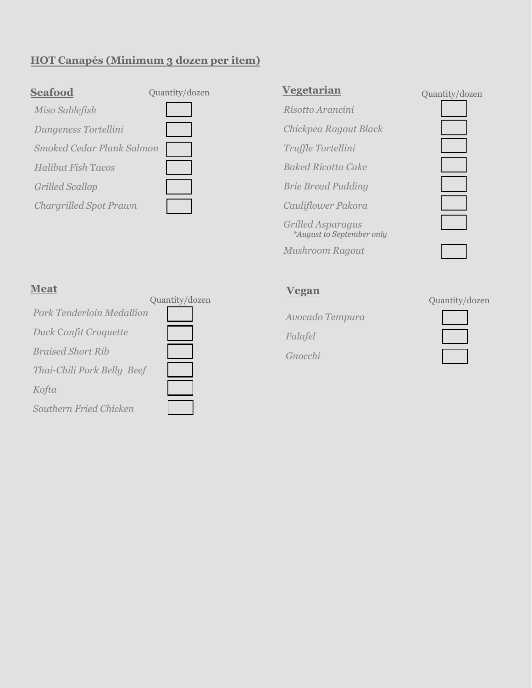### **HOT Canapés (Minimum 3 dozen per item)**





### **Vegetarian**

- *Risotto Arancini*
- *Chickpea Ragout Black*
- *Truffle Tortellini Baked Ricotta Cake*
- *Brie Bread Pudding*

*Cauliflower Pakora* 

*Grilled Asparagus \*August to September only*

*Mushroom Ragout*

Quantity/dozen





#### **Meat**

|                              | Quantity/dozen |
|------------------------------|----------------|
| Pork Tenderloin Medallion    |                |
| <b>Duck Confit Croquette</b> |                |
| <b>Braised Short Rib</b>     |                |
| Thai-Chili Pork Belly Beef   |                |
| Kofta                        |                |
| Southern Fried Chicken       |                |

### **Vegan**

*Avocado Tempura Falafel*

*Gnocchi*

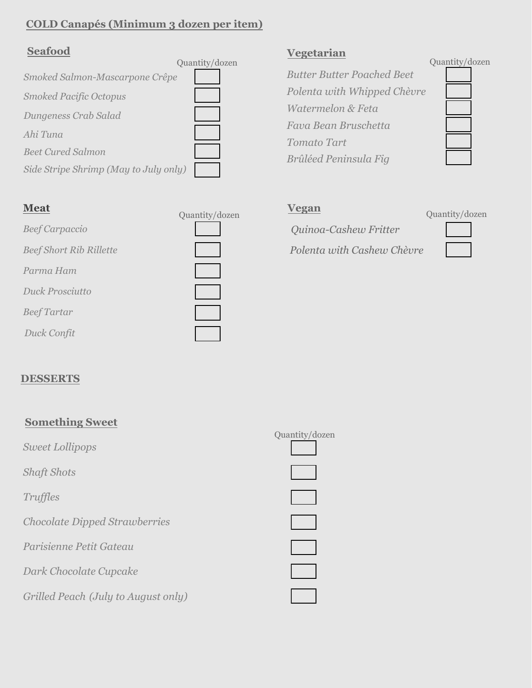## **COLD Canapés (Minimum 3 dozen per item)**

### **Seafood**

|                                       | Quantity/dozen |
|---------------------------------------|----------------|
| Smoked Salmon-Mascarpone Crêpe        |                |
| <b>Smoked Pacific Octopus</b>         |                |
| Dungeness Crab Salad                  |                |
| Ahi Tuna                              |                |
| <b>Beet Cured Salmon</b>              |                |
| Side Stripe Shrimp (May to July only) |                |

| <b>Meat</b>                    | Quantity/dozen |
|--------------------------------|----------------|
| <b>Beef Carpaccio</b>          |                |
| <b>Beef Short Rib Rillette</b> |                |
| Parma Ham                      |                |
| Duck Prosciutto                |                |
| <b>Beef Tartar</b>             |                |
| Duck Confit                    |                |

### **Vegetarian**

*Butter Butter Poached Beet Polenta with Whipped Chèvre Watermelon & Feta Fava Bean Bruschetta Tomato Tart Brûléed Peninsula Fig*

#### Quantity/dozen



### **Vegan**

# *Quinoa-Cashew Fritter*

*Polenta with Cashew Chèvre*



### **DESSERTS**

| <b>Something Sweet</b>               |                |
|--------------------------------------|----------------|
| Sweet Lollipops                      | Quantity/dozen |
| <b>Shaft Shots</b>                   |                |
| Truffles                             |                |
| <b>Chocolate Dipped Strawberries</b> |                |
| Parisienne Petit Gateau              |                |
| Dark Chocolate Cupcake               |                |
| Grilled Peach (July to August only)  |                |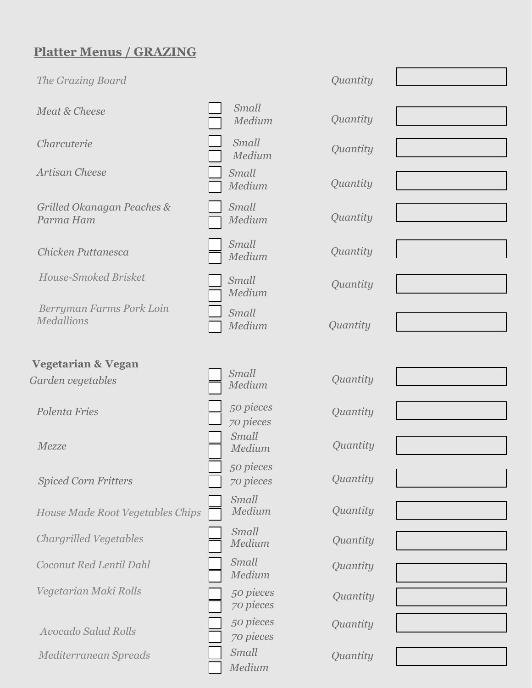# **Platter Menus / GRAZING**

| The Grazing Board                             |                        | Quantity |  |
|-----------------------------------------------|------------------------|----------|--|
| Meat & Cheese                                 | Small<br>Medium        | Quantity |  |
| Charcuterie                                   | Small<br>Medium        | Quantity |  |
| Artisan Cheese                                | Small<br>Medium        | Quantity |  |
| Grilled Okanagan Peaches &<br>Parma Ham       | Small<br>Medium        | Quantity |  |
| Chicken Puttanesca                            | Small<br>Medium        | Quantity |  |
| <b>House-Smoked Brisket</b>                   | Small<br>Medium        | Quantity |  |
| Berryman Farms Pork Loin<br><b>Medallions</b> | Small<br>Medium        | Quantity |  |
| <b>Vegetarian &amp; Vegan</b>                 |                        |          |  |
| Garden vegetables                             | Small<br>Medium        | Quantity |  |
| Polenta Fries                                 | 50 pieces<br>70 pieces | Quantity |  |
| Mezze                                         | Small<br>Medium        | Quantity |  |
| <b>Spiced Corn Fritters</b>                   | 50 pieces<br>70 pieces | Quantity |  |
| House Made Root Vegetables Chips              | Small<br>Medium        | Quantity |  |
| <b>Chargrilled Vegetables</b>                 | Small<br>Medium        | Quantity |  |
| Coconut Red Lentil Dahl                       | Small<br>Medium        | Quantity |  |
| Vegetarian Maki Rolls                         | 50 pieces<br>70 pieces | Quantity |  |
| <b>Avocado Salad Rolls</b>                    | 50 pieces<br>70 pieces | Quantity |  |
| Mediterranean Spreads                         | Small<br>Medium        | Quantity |  |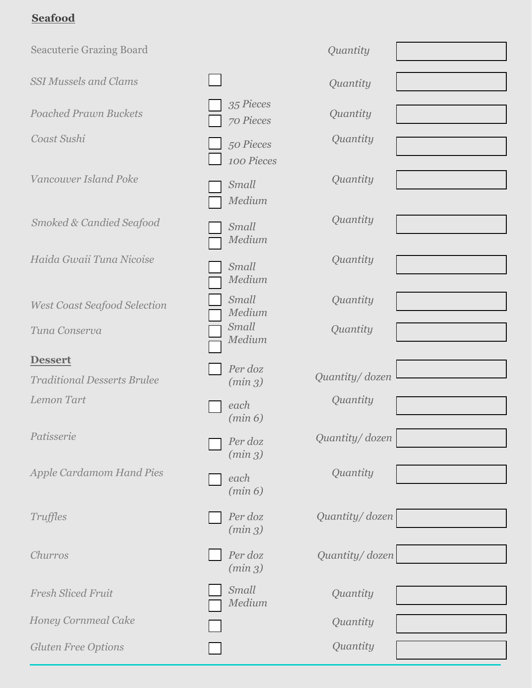## **Seafood**

| <b>Seacuterie Grazing Board</b>     |                         | Quantity       |
|-------------------------------------|-------------------------|----------------|
| <b>SSI Mussels and Clams</b>        |                         | Quantity       |
| <b>Poached Prawn Buckets</b>        | 35 Pieces<br>70 Pieces  | Quantity       |
| Coast Sushi                         | 50 Pieces<br>100 Pieces | Quantity       |
| Vancouver Island Poke               | Small<br>Medium         | Quantity       |
| Smoked & Candied Seafood            | Small<br>Medium         | Quantity       |
| Haida Gwaii Tuna Nicoise            | Small<br>Medium         | Quantity       |
| <b>West Coast Seafood Selection</b> | Small<br>Medium         | Quantity       |
| Tuna Conserva                       | Small<br>Medium         | Quantity       |
| <b>Dessert</b>                      |                         |                |
| <b>Traditional Desserts Brulee</b>  | Per doz<br>(min 3)      | Quantity/dozen |
| Lemon Tart                          | each<br>(min 6)         | Quantity       |
| Patisserie                          | Per doz<br>(min 3)      | Quantity/dozen |
| <b>Apple Cardamom Hand Pies</b>     | each<br>(min 6)         | Quantity       |
| <b>Truffles</b>                     | Per doz<br>(min 3)      | Quantity/dozen |
| Churros                             | Per doz<br>(min 3)      | Quantity/dozen |
| <b>Fresh Sliced Fruit</b>           | Small<br>Medium         | Quantity       |
| <b>Honey Cornmeal Cake</b>          |                         | Quantity       |
| <b>Gluten Free Options</b>          |                         | Quantity       |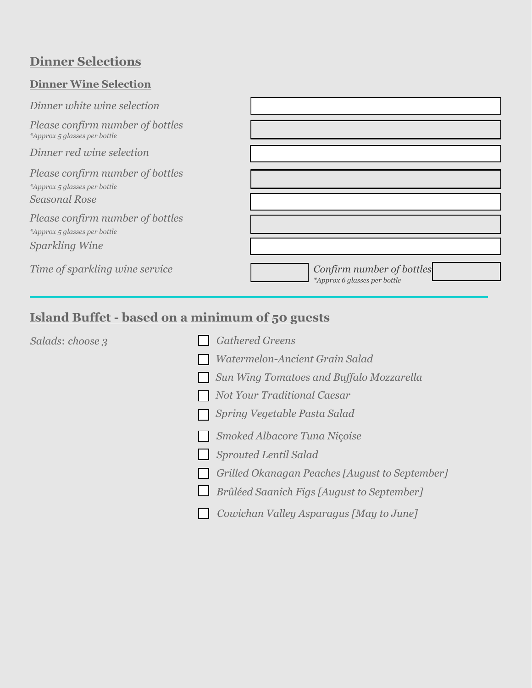# **Dinner Selections**

## **Dinner Wine Selection**

| Dinner white wine selection                                                              |                                                           |
|------------------------------------------------------------------------------------------|-----------------------------------------------------------|
| Please confirm number of bottles<br>*Approx 5 glasses per bottle                         |                                                           |
| Dinner red wine selection                                                                |                                                           |
| Please confirm number of bottles<br>*Approx 5 glasses per bottle<br><b>Seasonal Rose</b> |                                                           |
| Please confirm number of bottles                                                         |                                                           |
| *Approx 5 glasses per bottle                                                             |                                                           |
| Sparkling Wine                                                                           |                                                           |
| Time of sparkling wine service                                                           | Confirm number of bottles<br>*Approx 6 glasses per bottle |

# **Island Buffet - based on a minimum of 50 guests**

| Salads: choose 3 | <b>Gathered Greens</b>                         |
|------------------|------------------------------------------------|
|                  | Watermelon-Ancient Grain Salad                 |
|                  | Sun Wing Tomatoes and Buffalo Mozzarella       |
|                  | <b>Not Your Traditional Caesar</b>             |
|                  | Spring Vegetable Pasta Salad                   |
|                  | Smoked Albacore Tuna Niçoise                   |
|                  | <b>Sprouted Lentil Salad</b>                   |
|                  | Grilled Okanagan Peaches [August to September] |
|                  | Brûléed Saanich Figs [August to September]     |
|                  | Cowichan Valley Asparagus [May to June]        |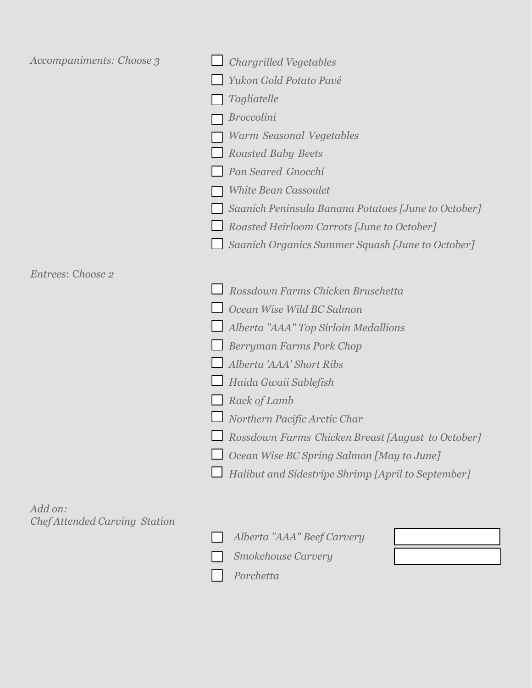| Accompaniments: Choose 3             | <b>Chargrilled Vegetables</b>                                                                                                         |  |  |  |  |
|--------------------------------------|---------------------------------------------------------------------------------------------------------------------------------------|--|--|--|--|
|                                      | Yukon Gold Potato Pavé                                                                                                                |  |  |  |  |
|                                      | Tagliatelle                                                                                                                           |  |  |  |  |
|                                      | <b>Broccolini</b>                                                                                                                     |  |  |  |  |
|                                      | Warm Seasonal Vegetables                                                                                                              |  |  |  |  |
|                                      | <b>Roasted Baby Beets</b><br>Pan Seared Gnocchi<br><b>White Bean Cassoulet</b><br>Saanich Peninsula Banana Potatoes [June to October] |  |  |  |  |
|                                      |                                                                                                                                       |  |  |  |  |
|                                      |                                                                                                                                       |  |  |  |  |
|                                      |                                                                                                                                       |  |  |  |  |
|                                      | Roasted Heirloom Carrots [June to October]                                                                                            |  |  |  |  |
|                                      | Saanich Organics Summer Squash [June to October]                                                                                      |  |  |  |  |
|                                      |                                                                                                                                       |  |  |  |  |
| Entrees: Choose 2                    | Rossdown Farms Chicken Bruschetta                                                                                                     |  |  |  |  |
|                                      | Ocean Wise Wild BC Salmon                                                                                                             |  |  |  |  |
|                                      | Alberta "AAA" Top Sirloin Medallions                                                                                                  |  |  |  |  |
|                                      | Berryman Farms Pork Chop                                                                                                              |  |  |  |  |
|                                      | Alberta 'AAA' Short Ribs                                                                                                              |  |  |  |  |
|                                      | Haida Gwaii Sablefish                                                                                                                 |  |  |  |  |
|                                      | Rack of Lamb                                                                                                                          |  |  |  |  |
|                                      | Northern Pacific Arctic Char                                                                                                          |  |  |  |  |
|                                      | Rossdown Farms Chicken Breast [August to October]                                                                                     |  |  |  |  |
|                                      | Ocean Wise BC Spring Salmon [May to June]                                                                                             |  |  |  |  |
|                                      | Halibut and Sidestripe Shrimp [April to September]                                                                                    |  |  |  |  |
|                                      |                                                                                                                                       |  |  |  |  |
| Add on:                              |                                                                                                                                       |  |  |  |  |
| <b>Chef Attended Carving Station</b> |                                                                                                                                       |  |  |  |  |
|                                      | Alberta "AAA" Beef Carvery                                                                                                            |  |  |  |  |
|                                      | Smokehouse Carvery                                                                                                                    |  |  |  |  |

*Porchetta*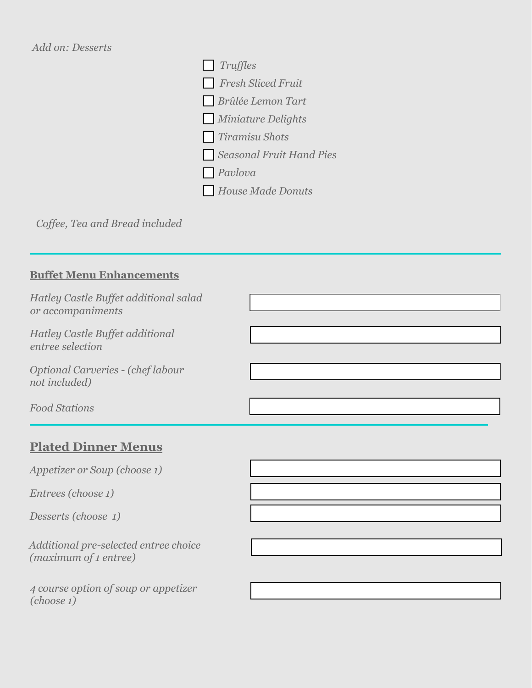### *Add on: Desserts*



*Coffee, Tea and Bread included*

### **Buffet Menu Enhancements**

| Hatley Castle Buffet additional salad<br>or accompaniments |  |
|------------------------------------------------------------|--|
| Hatley Castle Buffet additional<br>entree selection        |  |
| Optional Carveries - (chef labour<br>not included)         |  |
| <b>Food Stations</b>                                       |  |

## **Plated Dinner Menus**

*Appetizer or Soup (choose 1)* 

*Entrees (choose 1)* 

*Desserts (choose 1)*

*Additional pre-selected entree choice (maximum of 1 entree)* 

*4 course option of soup or appetizer (choose 1)*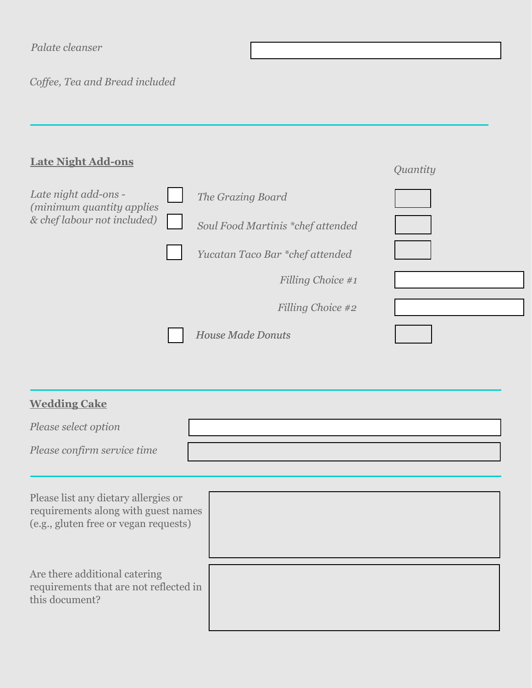*Coffee, Tea and Bread included*

| <b>Late Night Add-ons</b>                                                        |                                   | Quantity |
|----------------------------------------------------------------------------------|-----------------------------------|----------|
| Late night add-ons -<br>(minimum quantity applies<br>& chef labour not included) | The Grazing Board                 |          |
|                                                                                  | Soul Food Martinis *chef attended |          |
|                                                                                  | Yucatan Taco Bar *chef attended   |          |
|                                                                                  | Filling Choice #1                 |          |
|                                                                                  | Filling Choice #2                 |          |
|                                                                                  | <b>House Made Donuts</b>          |          |

| <b>Wedding Cake</b>                                                                                                  |  |  |  |
|----------------------------------------------------------------------------------------------------------------------|--|--|--|
| Please select option                                                                                                 |  |  |  |
| Please confirm service time                                                                                          |  |  |  |
| Please list any dietary allergies or<br>requirements along with guest names<br>(e.g., gluten free or vegan requests) |  |  |  |
|                                                                                                                      |  |  |  |
| Are there additional catering<br>requirements that are not reflected in<br>this document?                            |  |  |  |